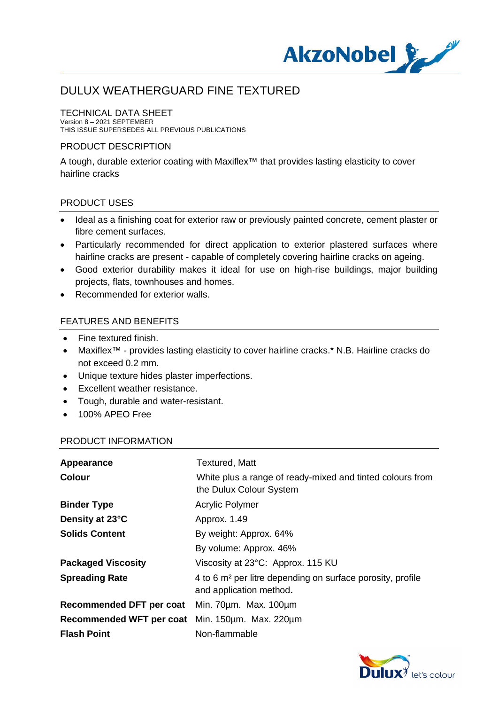

### TECHNICAL DATA SHEET

Version 8 – 2021 SEPTEMBER THIS ISSUE SUPERSEDES ALL PREVIOUS PUBLICATIONS

#### PRODUCT DESCRIPTION

A tough, durable exterior coating with Maxiflex™ that provides lasting elasticity to cover hairline cracks

#### PRODUCT USES

- · Ideal as a finishing coat for exterior raw or previously painted concrete, cement plaster or fibre cement surfaces.
- · Particularly recommended for direct application to exterior plastered surfaces where hairline cracks are present - capable of completely covering hairline cracks on ageing.
- · Good exterior durability makes it ideal for use on high-rise buildings, major building projects, flats, townhouses and homes.
- Recommended for exterior walls.

#### FEATURES AND BENEFITS

- Fine textured finish.
- · Maxiflex™ provides lasting elasticity to cover hairline cracks.\* N.B. Hairline cracks do not exceed 0.2 mm.
- · Unique texture hides plaster imperfections.
- · Excellent weather resistance.
- · Tough, durable and water-resistant.
- · 100% APEO Free

#### PRODUCT INFORMATION

| Appearance                                      | <b>Textured, Matt</b>                                                                             |
|-------------------------------------------------|---------------------------------------------------------------------------------------------------|
| <b>Colour</b>                                   | White plus a range of ready-mixed and tinted colours from<br>the Dulux Colour System              |
| <b>Binder Type</b>                              | <b>Acrylic Polymer</b>                                                                            |
| Density at 23°C                                 | Approx. 1.49                                                                                      |
| <b>Solids Content</b>                           | By weight: Approx. 64%                                                                            |
|                                                 | By volume: Approx. 46%                                                                            |
| <b>Packaged Viscosity</b>                       | Viscosity at 23°C: Approx. 115 KU                                                                 |
| <b>Spreading Rate</b>                           | 4 to 6 m <sup>2</sup> per litre depending on surface porosity, profile<br>and application method. |
| Recommended DFT per coat Min. 70um. Max. 100um  |                                                                                                   |
| Recommended WFT per coat Min. 150um. Max. 220um |                                                                                                   |
| <b>Flash Point</b>                              | Non-flammable                                                                                     |

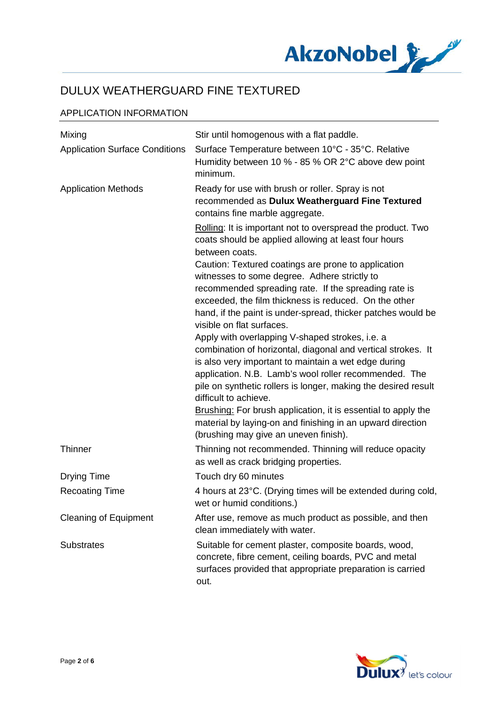

## APPLICATION INFORMATION

| Mixing                                | Stir until homogenous with a flat paddle.                                                                                                                                                                                                                                                                                   |
|---------------------------------------|-----------------------------------------------------------------------------------------------------------------------------------------------------------------------------------------------------------------------------------------------------------------------------------------------------------------------------|
| <b>Application Surface Conditions</b> | Surface Temperature between 10°C - 35°C. Relative<br>Humidity between 10 % - 85 % OR 2°C above dew point<br>minimum.                                                                                                                                                                                                        |
| <b>Application Methods</b>            | Ready for use with brush or roller. Spray is not<br>recommended as Dulux Weatherguard Fine Textured<br>contains fine marble aggregate.                                                                                                                                                                                      |
|                                       | Rolling: It is important not to overspread the product. Two<br>coats should be applied allowing at least four hours<br>between coats.                                                                                                                                                                                       |
|                                       | Caution: Textured coatings are prone to application<br>witnesses to some degree. Adhere strictly to<br>recommended spreading rate. If the spreading rate is<br>exceeded, the film thickness is reduced. On the other<br>hand, if the paint is under-spread, thicker patches would be                                        |
|                                       | visible on flat surfaces.                                                                                                                                                                                                                                                                                                   |
|                                       | Apply with overlapping V-shaped strokes, i.e. a<br>combination of horizontal, diagonal and vertical strokes. It<br>is also very important to maintain a wet edge during<br>application. N.B. Lamb's wool roller recommended. The<br>pile on synthetic rollers is longer, making the desired result<br>difficult to achieve. |
|                                       | <b>Brushing:</b> For brush application, it is essential to apply the<br>material by laying-on and finishing in an upward direction<br>(brushing may give an uneven finish).                                                                                                                                                 |
| Thinner                               | Thinning not recommended. Thinning will reduce opacity<br>as well as crack bridging properties.                                                                                                                                                                                                                             |
| <b>Drying Time</b>                    | Touch dry 60 minutes                                                                                                                                                                                                                                                                                                        |
| <b>Recoating Time</b>                 | 4 hours at 23°C. (Drying times will be extended during cold,<br>wet or humid conditions.)                                                                                                                                                                                                                                   |
| <b>Cleaning of Equipment</b>          | After use, remove as much product as possible, and then<br>clean immediately with water.                                                                                                                                                                                                                                    |
| <b>Substrates</b>                     | Suitable for cement plaster, composite boards, wood,<br>concrete, fibre cement, ceiling boards, PVC and metal<br>surfaces provided that appropriate preparation is carried<br>out.                                                                                                                                          |

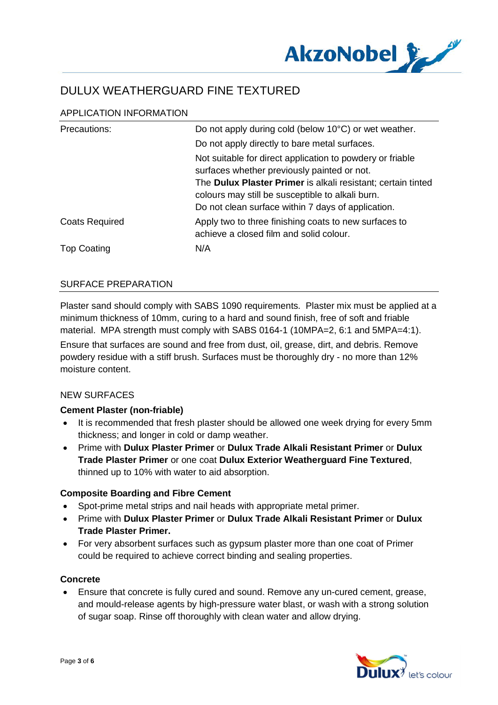

## APPLICATION INFORMATION

| Precautions:          | Do not apply during cold (below 10°C) or wet weather.                                                                                                                                                                                                                              |
|-----------------------|------------------------------------------------------------------------------------------------------------------------------------------------------------------------------------------------------------------------------------------------------------------------------------|
|                       | Do not apply directly to bare metal surfaces.                                                                                                                                                                                                                                      |
|                       | Not suitable for direct application to powdery or friable<br>surfaces whether previously painted or not.<br>The Dulux Plaster Primer is alkali resistant; certain tinted<br>colours may still be susceptible to alkali burn.<br>Do not clean surface within 7 days of application. |
| <b>Coats Required</b> | Apply two to three finishing coats to new surfaces to<br>achieve a closed film and solid colour.                                                                                                                                                                                   |
| <b>Top Coating</b>    | N/A                                                                                                                                                                                                                                                                                |

### SURFACE PREPARATION

Plaster sand should comply with SABS 1090 requirements. Plaster mix must be applied at a minimum thickness of 10mm, curing to a hard and sound finish, free of soft and friable material. MPA strength must comply with SABS 0164-1 (10MPA=2, 6:1 and 5MPA=4:1).

Ensure that surfaces are sound and free from dust, oil, grease, dirt, and debris. Remove powdery residue with a stiff brush. Surfaces must be thoroughly dry - no more than 12% moisture content.

## NEW SURFACES

## **Cement Plaster (non-friable)**

- · It is recommended that fresh plaster should be allowed one week drying for every 5mm thickness; and longer in cold or damp weather.
- · Prime with **Dulux Plaster Primer** or **Dulux Trade Alkali Resistant Primer** or **Dulux Trade Plaster Primer** or one coat **Dulux Exterior Weatherguard Fine Textured**, thinned up to 10% with water to aid absorption.

#### **Composite Boarding and Fibre Cement**

- Spot-prime metal strips and nail heads with appropriate metal primer.
- · Prime with **Dulux Plaster Primer** or **Dulux Trade Alkali Resistant Primer** or **Dulux Trade Plaster Primer.**
- · For very absorbent surfaces such as gypsum plaster more than one coat of Primer could be required to achieve correct binding and sealing properties.

## **Concrete**

· Ensure that concrete is fully cured and sound. Remove any un-cured cement, grease, and mould-release agents by high-pressure water blast, or wash with a strong solution of sugar soap. Rinse off thoroughly with clean water and allow drying.

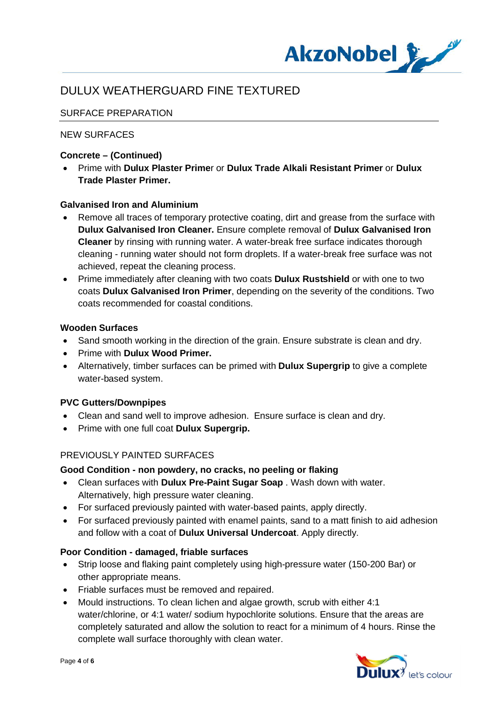

## SURFACE PREPARATION

### NEW SURFACES

### **Concrete – (Continued)**

· Prime with **Dulux Plaster Prime**r or **Dulux Trade Alkali Resistant Primer** or **Dulux Trade Plaster Primer.**

#### **Galvanised Iron and Aluminium**

- Remove all traces of temporary protective coating, dirt and grease from the surface with **Dulux Galvanised Iron Cleaner.** Ensure complete removal of **Dulux Galvanised Iron Cleaner** by rinsing with running water. A water-break free surface indicates thorough cleaning - running water should not form droplets. If a water-break free surface was not achieved, repeat the cleaning process.
- · Prime immediately after cleaning with two coats **Dulux Rustshield** or with one to two coats **Dulux Galvanised Iron Primer**, depending on the severity of the conditions. Two coats recommended for coastal conditions.

#### **Wooden Surfaces**

- Sand smooth working in the direction of the grain. Ensure substrate is clean and dry.
- · Prime with **Dulux Wood Primer.**
- · Alternatively, timber surfaces can be primed with **Dulux Supergrip** to give a complete water-based system.

## **PVC Gutters/Downpipes**

- · Clean and sand well to improve adhesion. Ensure surface is clean and dry.
- · Prime with one full coat **Dulux Supergrip.**

## PREVIOUSLY PAINTED SURFACES

#### **Good Condition - non powdery, no cracks, no peeling or flaking**

- · Clean surfaces with **Dulux Pre-Paint Sugar Soap** . Wash down with water. Alternatively, high pressure water cleaning.
- · For surfaced previously painted with water-based paints, apply directly.
- · For surfaced previously painted with enamel paints, sand to a matt finish to aid adhesion and follow with a coat of **Dulux Universal Undercoat**. Apply directly.

#### **Poor Condition - damaged, friable surfaces**

- · Strip loose and flaking paint completely using high-pressure water (150-200 Bar) or other appropriate means.
- · Friable surfaces must be removed and repaired.
- · Mould instructions. To clean lichen and algae growth, scrub with either 4:1 water/chlorine, or 4:1 water/ sodium hypochlorite solutions. Ensure that the areas are completely saturated and allow the solution to react for a minimum of 4 hours. Rinse the complete wall surface thoroughly with clean water.

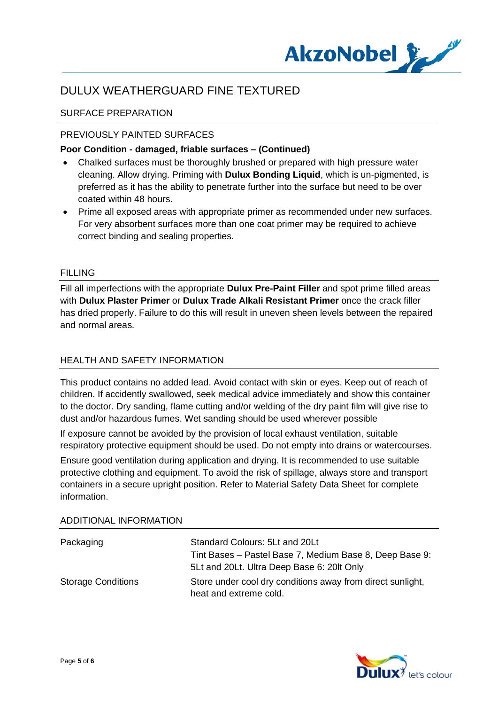

### SURFACE PREPARATION

#### PREVIOUSLY PAINTED SURFACES

#### **Poor Condition - damaged, friable surfaces – (Continued)**

- · Chalked surfaces must be thoroughly brushed or prepared with high pressure water cleaning. Allow drying. Priming with **Dulux Bonding Liquid**, which is un-pigmented, is preferred as it has the ability to penetrate further into the surface but need to be over coated within 48 hours.
- · Prime all exposed areas with appropriate primer as recommended under new surfaces. For very absorbent surfaces more than one coat primer may be required to achieve correct binding and sealing properties.

#### FILLING

Fill all imperfections with the appropriate **Dulux Pre-Paint Filler** and spot prime filled areas with **Dulux Plaster Primer** or **Dulux Trade Alkali Resistant Primer** once the crack filler has dried properly. Failure to do this will result in uneven sheen levels between the repaired and normal areas.

#### HEALTH AND SAFETY INFORMATION

This product contains no added lead. Avoid contact with skin or eyes. Keep out of reach of children. If accidently swallowed, seek medical advice immediately and show this container to the doctor. Dry sanding, flame cutting and/or welding of the dry paint film will give rise to dust and/or hazardous fumes. Wet sanding should be used wherever possible

If exposure cannot be avoided by the provision of local exhaust ventilation, suitable respiratory protective equipment should be used. Do not empty into drains or watercourses.

Ensure good ventilation during application and drying. It is recommended to use suitable protective clothing and equipment. To avoid the risk of spillage, always store and transport containers in a secure upright position. Refer to Material Safety Data Sheet for complete information.

#### ADDITIONAL INFORMATION

| Packaging                 | Standard Colours: 5Lt and 20Lt                             |
|---------------------------|------------------------------------------------------------|
|                           | Tint Bases – Pastel Base 7, Medium Base 8, Deep Base 9:    |
|                           | 5Lt and 20Lt. Ultra Deep Base 6: 20lt Only                 |
| <b>Storage Conditions</b> | Store under cool dry conditions away from direct sunlight, |
|                           | heat and extreme cold.                                     |